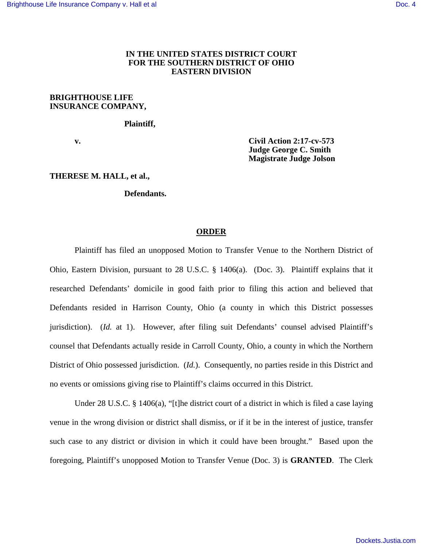# **IN THE UNITED STATES DISTRICT COURT FOR THE SOUTHERN DISTRICT OF OHIO EASTERN DIVISION**

## **BRIGHTHOUSE LIFE INSURANCE COMPANY,**

 **Plaintiff,**

 **v. Civil Action 2:17-cv-573 Judge George C. Smith Magistrate Judge Jolson** 

## **THERESE M. HALL, et al.,**

## **Defendants.**

#### **ORDER**

Plaintiff has filed an unopposed Motion to Transfer Venue to the Northern District of Ohio, Eastern Division, pursuant to 28 U.S.C. § 1406(a). (Doc. 3). Plaintiff explains that it researched Defendants' domicile in good faith prior to filing this action and believed that Defendants resided in Harrison County, Ohio (a county in which this District possesses jurisdiction). (*Id.* at 1). However, after filing suit Defendants' counsel advised Plaintiff's counsel that Defendants actually reside in Carroll County, Ohio, a county in which the Northern District of Ohio possessed jurisdiction. (*Id.*). Consequently, no parties reside in this District and no events or omissions giving rise to Plaintiff's claims occurred in this District.

Under 28 U.S.C. § 1406(a), "[t]he district court of a district in which is filed a case laying venue in the wrong division or district shall dismiss, or if it be in the interest of justice, transfer such case to any district or division in which it could have been brought." Based upon the foregoing, Plaintiff's unopposed Motion to Transfer Venue (Doc. 3) is **GRANTED**. The Clerk